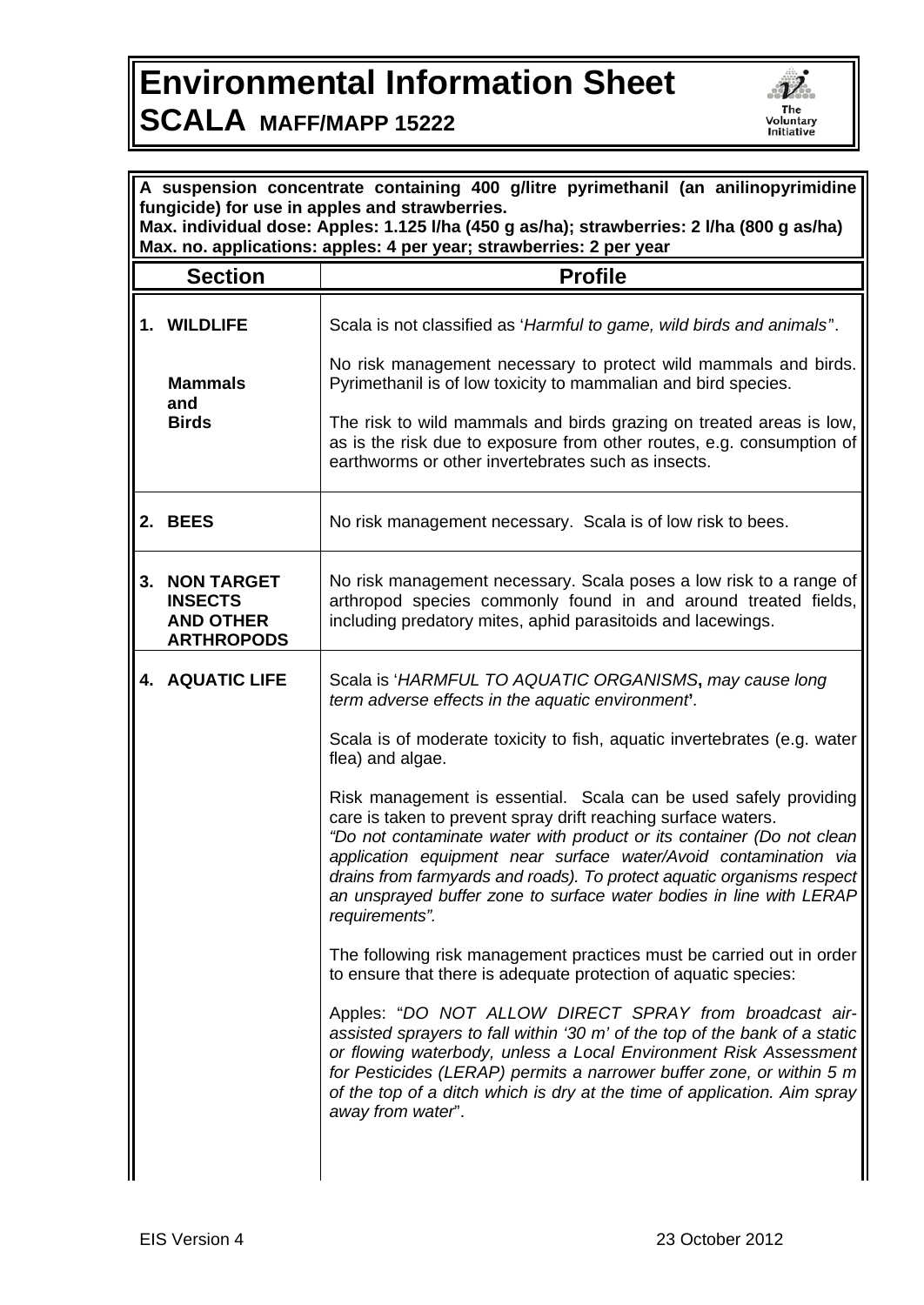## **Environmental Information Sheet SCALA MAFF/MAPP 15222**



| A suspension concentrate containing 400 g/litre pyrimethanil (an anilinopyrimidine<br>fungicide) for use in apples and strawberries.<br>Max. individual dose: Apples: 1.125 I/ha (450 g as/ha); strawberries: 2 I/ha (800 g as/ha)<br>Max. no. applications: apples: 4 per year; strawberries: 2 per year |                                                                              |                                                                                                                                                                                                                                                                                                                                                                                                                                                   |  |
|-----------------------------------------------------------------------------------------------------------------------------------------------------------------------------------------------------------------------------------------------------------------------------------------------------------|------------------------------------------------------------------------------|---------------------------------------------------------------------------------------------------------------------------------------------------------------------------------------------------------------------------------------------------------------------------------------------------------------------------------------------------------------------------------------------------------------------------------------------------|--|
|                                                                                                                                                                                                                                                                                                           | <b>Section</b>                                                               | <b>Profile</b>                                                                                                                                                                                                                                                                                                                                                                                                                                    |  |
|                                                                                                                                                                                                                                                                                                           | 1. WILDLIFE                                                                  | Scala is not classified as 'Harmful to game, wild birds and animals".                                                                                                                                                                                                                                                                                                                                                                             |  |
|                                                                                                                                                                                                                                                                                                           | <b>Mammals</b><br>and<br><b>Birds</b>                                        | No risk management necessary to protect wild mammals and birds.<br>Pyrimethanil is of low toxicity to mammalian and bird species.                                                                                                                                                                                                                                                                                                                 |  |
|                                                                                                                                                                                                                                                                                                           |                                                                              | The risk to wild mammals and birds grazing on treated areas is low,<br>as is the risk due to exposure from other routes, e.g. consumption of<br>earthworms or other invertebrates such as insects.                                                                                                                                                                                                                                                |  |
|                                                                                                                                                                                                                                                                                                           | 2. BEES                                                                      | No risk management necessary. Scala is of low risk to bees.                                                                                                                                                                                                                                                                                                                                                                                       |  |
| 3.                                                                                                                                                                                                                                                                                                        | <b>NON TARGET</b><br><b>INSECTS</b><br><b>AND OTHER</b><br><b>ARTHROPODS</b> | No risk management necessary. Scala poses a low risk to a range of<br>arthropod species commonly found in and around treated fields,<br>including predatory mites, aphid parasitoids and lacewings.                                                                                                                                                                                                                                               |  |
|                                                                                                                                                                                                                                                                                                           | <b>4. AQUATIC LIFE</b>                                                       | Scala is 'HARMFUL TO AQUATIC ORGANISMS, may cause long<br>term adverse effects in the aquatic environment.                                                                                                                                                                                                                                                                                                                                        |  |
|                                                                                                                                                                                                                                                                                                           |                                                                              | Scala is of moderate toxicity to fish, aquatic invertebrates (e.g. water<br>flea) and algae.                                                                                                                                                                                                                                                                                                                                                      |  |
|                                                                                                                                                                                                                                                                                                           |                                                                              | Risk management is essential. Scala can be used safely providing<br>care is taken to prevent spray drift reaching surface waters.<br>"Do not contaminate water with product or its container (Do not clean<br>application equipment near surface water/Avoid contamination via<br>drains from farmyards and roads). To protect aquatic organisms respect<br>an unsprayed buffer zone to surface water bodies in line with LERAP<br>requirements". |  |
|                                                                                                                                                                                                                                                                                                           |                                                                              | The following risk management practices must be carried out in order<br>to ensure that there is adequate protection of aquatic species:                                                                                                                                                                                                                                                                                                           |  |
|                                                                                                                                                                                                                                                                                                           |                                                                              | Apples: "DO NOT ALLOW DIRECT SPRAY from broadcast air-<br>assisted sprayers to fall within '30 m' of the top of the bank of a static<br>or flowing waterbody, unless a Local Environment Risk Assessment<br>for Pesticides (LERAP) permits a narrower buffer zone, or within 5 m<br>of the top of a ditch which is dry at the time of application. Aim spray<br>away from water".                                                                 |  |